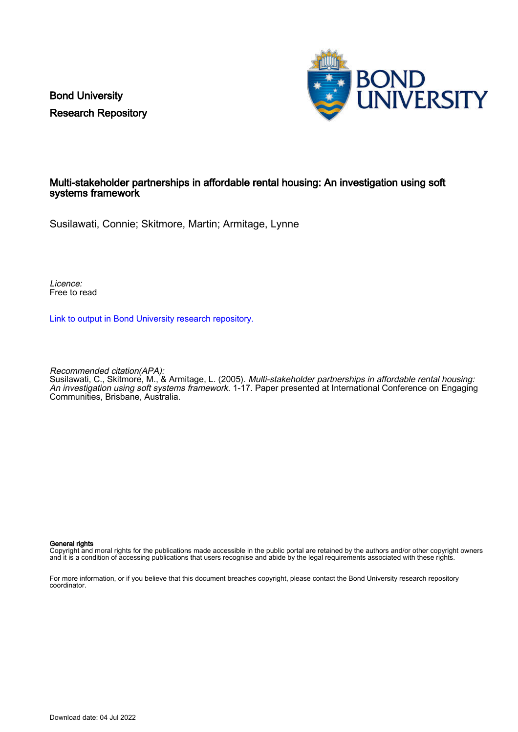Bond University Research Repository



# Multi-stakeholder partnerships in affordable rental housing: An investigation using soft systems framework

Susilawati, Connie; Skitmore, Martin; Armitage, Lynne

Licence: Free to read

[Link to output in Bond University research repository.](https://research.bond.edu.au/en/publications/5d9deafa-aae2-4c39-b4c7-31e2a3f7dc8d)

Recommended citation(APA): Susilawati, C., Skitmore, M., & Armitage, L. (2005). Multi-stakeholder partnerships in affordable rental housing: An investigation using soft systems framework. 1-17. Paper presented at International Conference on Engaging Communities, Brisbane, Australia.

#### General rights

Copyright and moral rights for the publications made accessible in the public portal are retained by the authors and/or other copyright owners and it is a condition of accessing publications that users recognise and abide by the legal requirements associated with these rights.

For more information, or if you believe that this document breaches copyright, please contact the Bond University research repository coordinator.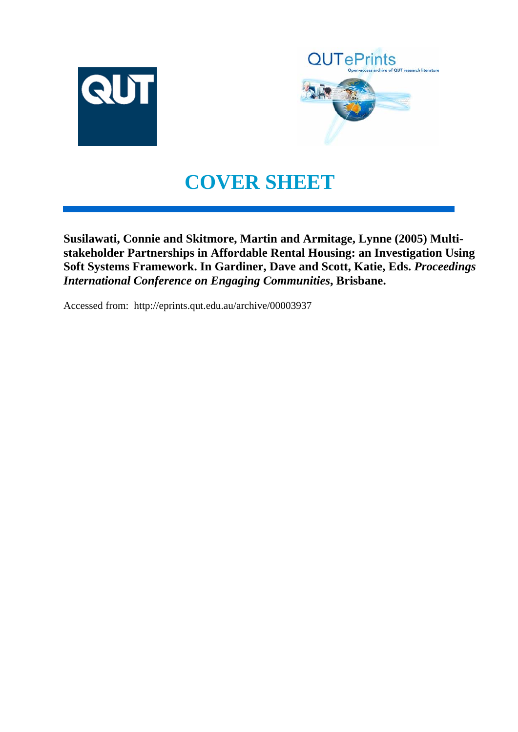



# **COVER SHEET**

**Susilawati, Connie and Skitmore, Martin and Armitage, Lynne (2005) Multistakeholder Partnerships in Affordable Rental Housing: an Investigation Using Soft Systems Framework. In Gardiner, Dave and Scott, Katie, Eds.** *Proceedings International Conference on Engaging Communities***, Brisbane.**

Accessed from: http://eprints.qut.edu.au/archive/00003937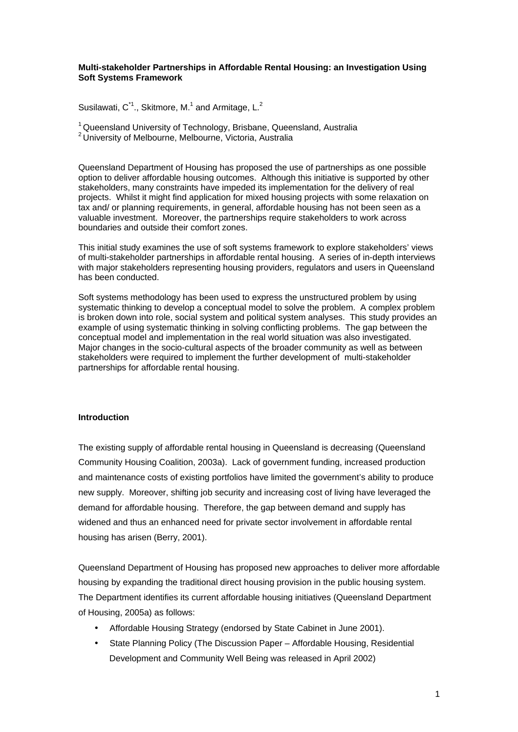## **Multi-stakeholder Partnerships in Affordable Rental Housing: an Investigation Using Soft Systems Framework**

Susilawati,  $C^{\text{A}}$ ., Skitmore, M.<sup>1</sup> and Armitage, L.<sup>2</sup>

<sup>1</sup> Queensland University of Technology, Brisbane, Queensland, Australia <sup>2</sup>University of Melbourne, Melbourne, Victoria, Australia

Queensland Department of Housing has proposed the use of partnerships as one possible option to deliver affordable housing outcomes. Although this initiative is supported by other stakeholders, many constraints have impeded its implementation for the delivery of real projects. Whilst it might find application for mixed housing projects with some relaxation on tax and/ or planning requirements, in general, affordable housing has not been seen as a valuable investment. Moreover, the partnerships require stakeholders to work across boundaries and outside their comfort zones.

This initial study examines the use of soft systems framework to explore stakeholders' views of multi-stakeholder partnerships in affordable rental housing. A series of in-depth interviews with major stakeholders representing housing providers, regulators and users in Queensland has been conducted.

Soft systems methodology has been used to express the unstructured problem by using systematic thinking to develop a conceptual model to solve the problem. A complex problem is broken down into role, social system and political system analyses. This study provides an example of using systematic thinking in solving conflicting problems. The gap between the conceptual model and implementation in the real world situation was also investigated. Major changes in the socio-cultural aspects of the broader community as well as between stakeholders were required to implement the further development of multi-stakeholder partnerships for affordable rental housing.

# **Introduction**

The existing supply of affordable rental housing in Queensland is decreasing (Queensland Community Housing Coalition, 2003a). Lack of government funding, increased production and maintenance costs of existing portfolios have limited the government's ability to produce new supply. Moreover, shifting job security and increasing cost of living have leveraged the demand for affordable housing. Therefore, the gap between demand and supply has widened and thus an enhanced need for private sector involvement in affordable rental housing has arisen (Berry, 2001).

Queensland Department of Housing has proposed new approaches to deliver more affordable housing by expanding the traditional direct housing provision in the public housing system. The Department identifies its current affordable housing initiatives (Queensland Department of Housing, 2005a) as follows:

- Affordable Housing Strategy (endorsed by State Cabinet in June 2001).
- State Planning Policy (The Discussion Paper Affordable Housing, Residential Development and Community Well Being was released in April 2002)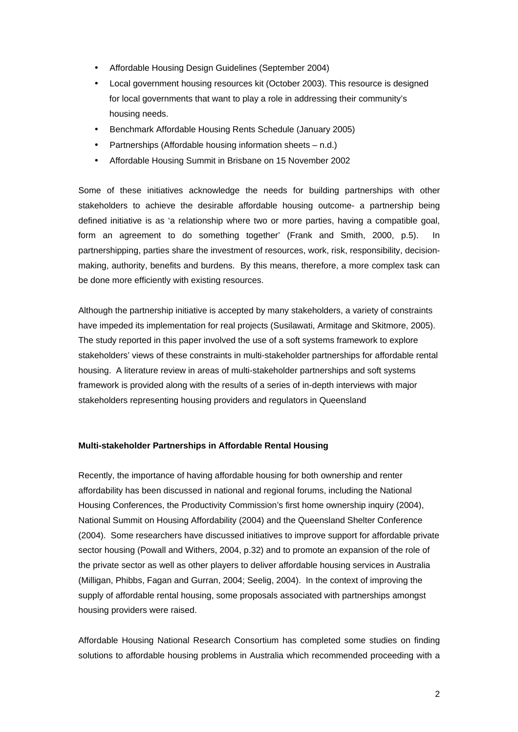- Affordable Housing Design Guidelines (September 2004)
- Local government housing resources kit (October 2003). This resource is designed for local governments that want to play a role in addressing their community's housing needs.
- Benchmark Affordable Housing Rents Schedule (January 2005)
- Partnerships (Affordable housing information sheets n.d.)
- Affordable Housing Summit in Brisbane on 15 November 2002

Some of these initiatives acknowledge the needs for building partnerships with other stakeholders to achieve the desirable affordable housing outcome- a partnership being defined initiative is as 'a relationship where two or more parties, having a compatible goal, form an agreement to do something together' (Frank and Smith, 2000, p.5). In partnershipping, parties share the investment of resources, work, risk, responsibility, decisionmaking, authority, benefits and burdens. By this means, therefore, a more complex task can be done more efficiently with existing resources.

Although the partnership initiative is accepted by many stakeholders, a variety of constraints have impeded its implementation for real projects (Susilawati, Armitage and Skitmore, 2005). The study reported in this paper involved the use of a soft systems framework to explore stakeholders' views of these constraints in multi-stakeholder partnerships for affordable rental housing. A literature review in areas of multi-stakeholder partnerships and soft systems framework is provided along with the results of a series of in-depth interviews with major stakeholders representing housing providers and regulators in Queensland

#### **Multi-stakeholder Partnerships in Affordable Rental Housing**

Recently, the importance of having affordable housing for both ownership and renter affordability has been discussed in national and regional forums, including the National Housing Conferences, the Productivity Commission's first home ownership inquiry (2004), National Summit on Housing Affordability (2004) and the Queensland Shelter Conference (2004). Some researchers have discussed initiatives to improve support for affordable private sector housing (Powall and Withers, 2004, p.32) and to promote an expansion of the role of the private sector as well as other players to deliver affordable housing services in Australia (Milligan, Phibbs, Fagan and Gurran, 2004; Seelig, 2004). In the context of improving the supply of affordable rental housing, some proposals associated with partnerships amongst housing providers were raised.

Affordable Housing National Research Consortium has completed some studies on finding solutions to affordable housing problems in Australia which recommended proceeding with a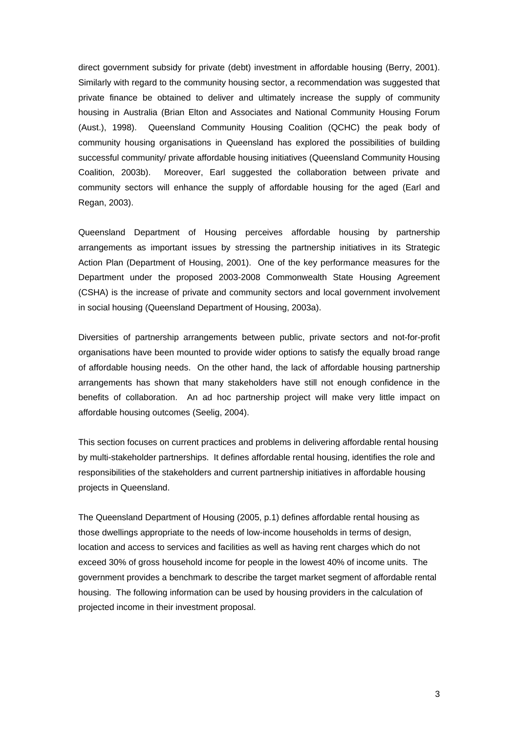direct government subsidy for private (debt) investment in affordable housing (Berry, 2001). Similarly with regard to the community housing sector, a recommendation was suggested that private finance be obtained to deliver and ultimately increase the supply of community housing in Australia (Brian Elton and Associates and National Community Housing Forum (Aust.), 1998). Queensland Community Housing Coalition (QCHC) the peak body of community housing organisations in Queensland has explored the possibilities of building successful community/ private affordable housing initiatives (Queensland Community Housing Coalition, 2003b). Moreover, Earl suggested the collaboration between private and community sectors will enhance the supply of affordable housing for the aged (Earl and Regan, 2003).

Queensland Department of Housing perceives affordable housing by partnership arrangements as important issues by stressing the partnership initiatives in its Strategic Action Plan (Department of Housing, 2001). One of the key performance measures for the Department under the proposed 2003-2008 Commonwealth State Housing Agreement (CSHA) is the increase of private and community sectors and local government involvement in social housing (Queensland Department of Housing, 2003a).

Diversities of partnership arrangements between public, private sectors and not-for-profit organisations have been mounted to provide wider options to satisfy the equally broad range of affordable housing needs. On the other hand, the lack of affordable housing partnership arrangements has shown that many stakeholders have still not enough confidence in the benefits of collaboration. An ad hoc partnership project will make very little impact on affordable housing outcomes (Seelig, 2004).

This section focuses on current practices and problems in delivering affordable rental housing by multi-stakeholder partnerships. It defines affordable rental housing, identifies the role and responsibilities of the stakeholders and current partnership initiatives in affordable housing projects in Queensland.

The Queensland Department of Housing (2005, p.1) defines affordable rental housing as those dwellings appropriate to the needs of low-income households in terms of design, location and access to services and facilities as well as having rent charges which do not exceed 30% of gross household income for people in the lowest 40% of income units. The government provides a benchmark to describe the target market segment of affordable rental housing. The following information can be used by housing providers in the calculation of projected income in their investment proposal.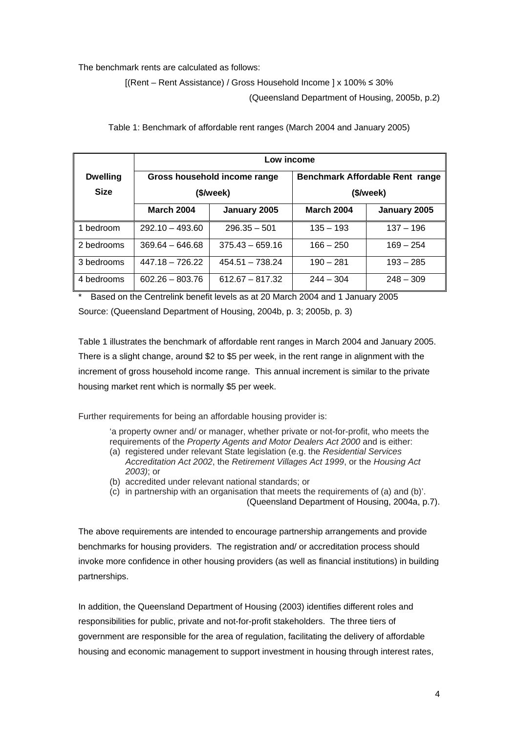The benchmark rents are calculated as follows:

[(Rent – Rent Assistance) / Gross Household Income ] x 100% ≤ 30%

(Queensland Department of Housing, 2005b, p.2)

|                 | Low income                        |                   |                                 |              |  |
|-----------------|-----------------------------------|-------------------|---------------------------------|--------------|--|
| <b>Dwelling</b> | Gross household income range      |                   | Benchmark Affordable Rent range |              |  |
| <b>Size</b>     | (\$/week)                         |                   | (\$/week)                       |              |  |
|                 | <b>March 2004</b><br>January 2005 |                   | <b>March 2004</b>               | January 2005 |  |
| bedroom         | $292.10 - 493.60$                 | $296.35 - 501$    | $135 - 193$                     | $137 - 196$  |  |
| 2 bedrooms      | $369.64 - 646.68$                 | $375.43 - 659.16$ | $166 - 250$                     | $169 - 254$  |  |
| 3 bedrooms      | $447.18 - 726.22$                 | $454.51 - 738.24$ | $190 - 281$                     | $193 - 285$  |  |
| 4 bedrooms      | $602.26 - 803.76$                 | $612.67 - 817.32$ | $244 - 304$                     | $248 - 309$  |  |

Table 1: Benchmark of affordable rent ranges (March 2004 and January 2005)

\* Based on the Centrelink benefit levels as at 20 March 2004 and 1 January 2005 Source: (Queensland Department of Housing, 2004b, p. 3; 2005b, p. 3)

Table 1 illustrates the benchmark of affordable rent ranges in March 2004 and January 2005. There is a slight change, around \$2 to \$5 per week, in the rent range in alignment with the increment of gross household income range. This annual increment is similar to the private housing market rent which is normally \$5 per week.

Further requirements for being an affordable housing provider is:

'a property owner and/ or manager, whether private or not-for-profit, who meets the requirements of the Property Agents and Motor Dealers Act 2000 and is either:

- (a) registered under relevant State legislation (e.g. the Residential Services Accreditation Act 2002, the Retirement Villages Act 1999, or the Housing Act 2003); or
- (b) accredited under relevant national standards; or
- (c) in partnership with an organisation that meets the requirements of (a) and (b)'. (Queensland Department of Housing, 2004a, p.7).

The above requirements are intended to encourage partnership arrangements and provide benchmarks for housing providers. The registration and/ or accreditation process should invoke more confidence in other housing providers (as well as financial institutions) in building partnerships.

In addition, the Queensland Department of Housing (2003) identifies different roles and responsibilities for public, private and not-for-profit stakeholders. The three tiers of government are responsible for the area of regulation, facilitating the delivery of affordable housing and economic management to support investment in housing through interest rates,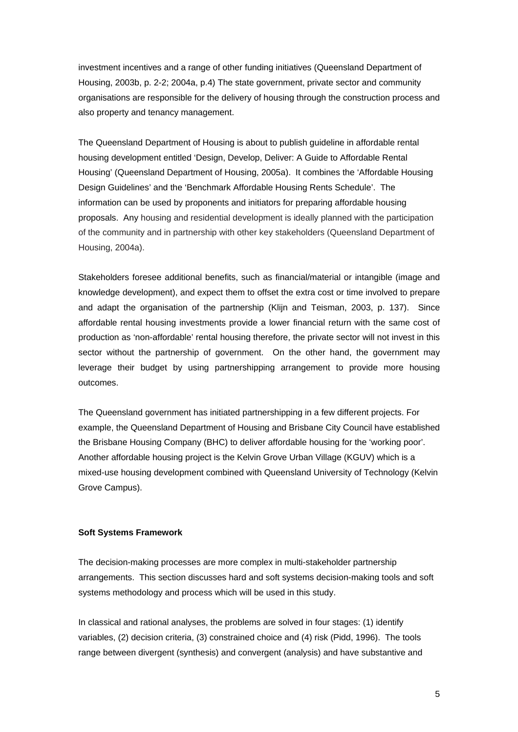investment incentives and a range of other funding initiatives (Queensland Department of Housing, 2003b, p. 2-2; 2004a, p.4) The state government, private sector and community organisations are responsible for the delivery of housing through the construction process and also property and tenancy management.

The Queensland Department of Housing is about to publish guideline in affordable rental housing development entitled 'Design, Develop, Deliver: A Guide to Affordable Rental Housing' (Queensland Department of Housing, 2005a). It combines the 'Affordable Housing Design Guidelines' and the 'Benchmark Affordable Housing Rents Schedule'. The information can be used by proponents and initiators for preparing affordable housing proposals. Any housing and residential development is ideally planned with the participation of the community and in partnership with other key stakeholders (Queensland Department of Housing, 2004a).

Stakeholders foresee additional benefits, such as financial/material or intangible (image and knowledge development), and expect them to offset the extra cost or time involved to prepare and adapt the organisation of the partnership (Klijn and Teisman, 2003, p. 137). Since affordable rental housing investments provide a lower financial return with the same cost of production as 'non-affordable' rental housing therefore, the private sector will not invest in this sector without the partnership of government. On the other hand, the government may leverage their budget by using partnershipping arrangement to provide more housing outcomes.

The Queensland government has initiated partnershipping in a few different projects. For example, the Queensland Department of Housing and Brisbane City Council have established the Brisbane Housing Company (BHC) to deliver affordable housing for the 'working poor'. Another affordable housing project is the Kelvin Grove Urban Village (KGUV) which is a mixed-use housing development combined with Queensland University of Technology (Kelvin Grove Campus).

#### **Soft Systems Framework**

The decision-making processes are more complex in multi-stakeholder partnership arrangements. This section discusses hard and soft systems decision-making tools and soft systems methodology and process which will be used in this study.

In classical and rational analyses, the problems are solved in four stages: (1) identify variables, (2) decision criteria, (3) constrained choice and (4) risk (Pidd, 1996). The tools range between divergent (synthesis) and convergent (analysis) and have substantive and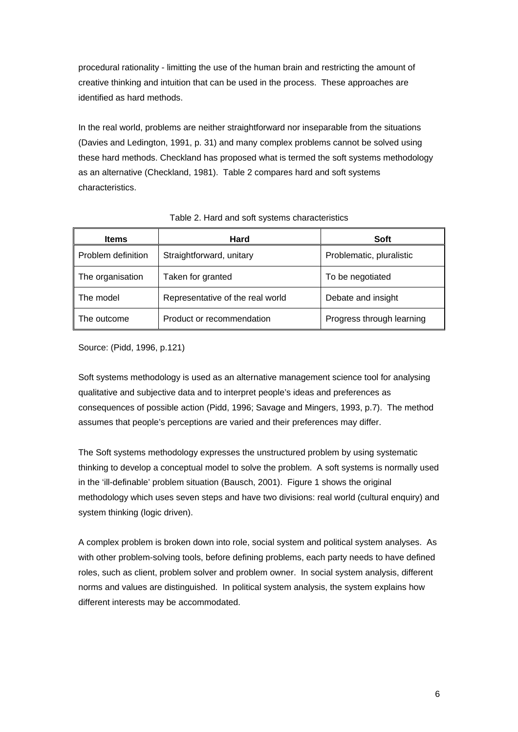procedural rationality - limitting the use of the human brain and restricting the amount of creative thinking and intuition that can be used in the process. These approaches are identified as hard methods.

In the real world, problems are neither straightforward nor inseparable from the situations (Davies and Ledington, 1991, p. 31) and many complex problems cannot be solved using these hard methods. Checkland has proposed what is termed the soft systems methodology as an alternative (Checkland, 1981). Table 2 compares hard and soft systems characteristics.

| <b>Items</b>       | Hard                             | Soft                      |
|--------------------|----------------------------------|---------------------------|
| Problem definition | Straightforward, unitary         | Problematic, pluralistic  |
| The organisation   | Taken for granted                | To be negotiated          |
| The model          | Representative of the real world | Debate and insight        |
| The outcome        | Product or recommendation        | Progress through learning |

### Table 2. Hard and soft systems characteristics

Source: (Pidd, 1996, p.121)

Soft systems methodology is used as an alternative management science tool for analysing qualitative and subjective data and to interpret people's ideas and preferences as consequences of possible action (Pidd, 1996; Savage and Mingers, 1993, p.7). The method assumes that people's perceptions are varied and their preferences may differ.

The Soft systems methodology expresses the unstructured problem by using systematic thinking to develop a conceptual model to solve the problem. A soft systems is normally used in the 'ill-definable' problem situation (Bausch, 2001). Figure 1 shows the original methodology which uses seven steps and have two divisions: real world (cultural enquiry) and system thinking (logic driven).

A complex problem is broken down into role, social system and political system analyses. As with other problem-solving tools, before defining problems, each party needs to have defined roles, such as client, problem solver and problem owner. In social system analysis, different norms and values are distinguished. In political system analysis, the system explains how different interests may be accommodated.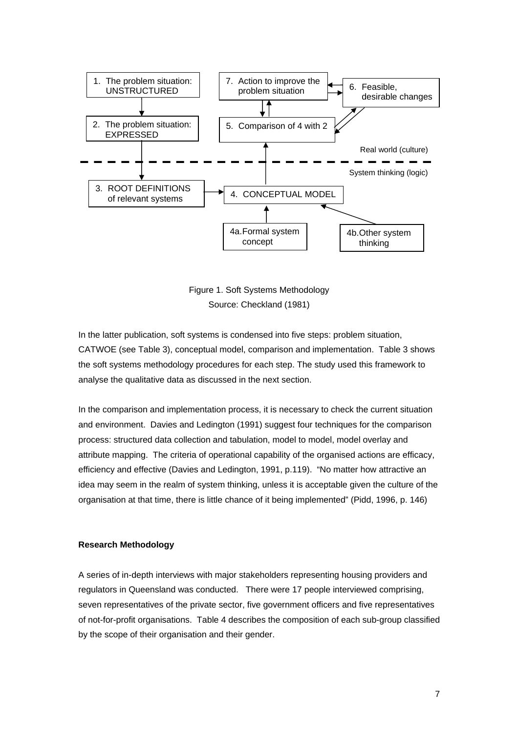

Figure 1. Soft Systems Methodology Source: Checkland (1981)

In the latter publication, soft systems is condensed into five steps: problem situation, CATWOE (see Table 3), conceptual model, comparison and implementation. Table 3 shows the soft systems methodology procedures for each step. The study used this framework to analyse the qualitative data as discussed in the next section.

In the comparison and implementation process, it is necessary to check the current situation and environment. Davies and Ledington (1991) suggest four techniques for the comparison process: structured data collection and tabulation, model to model, model overlay and attribute mapping. The criteria of operational capability of the organised actions are efficacy, efficiency and effective (Davies and Ledington, 1991, p.119). "No matter how attractive an idea may seem in the realm of system thinking, unless it is acceptable given the culture of the organisation at that time, there is little chance of it being implemented" (Pidd, 1996, p. 146)

#### **Research Methodology**

A series of in-depth interviews with major stakeholders representing housing providers and regulators in Queensland was conducted. There were 17 people interviewed comprising, seven representatives of the private sector, five government officers and five representatives of not-for-profit organisations. Table 4 describes the composition of each sub-group classified by the scope of their organisation and their gender.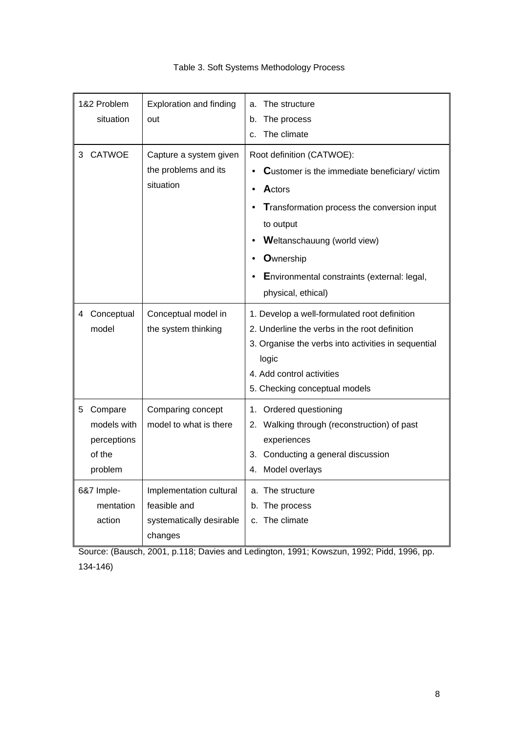| 1&2 Problem<br>situation                                         | <b>Exploration and finding</b><br>out                                          | The structure<br>a.<br>The process<br>b.<br>The climate<br>$C_{-}$                                                                                                                                                                                                              |
|------------------------------------------------------------------|--------------------------------------------------------------------------------|---------------------------------------------------------------------------------------------------------------------------------------------------------------------------------------------------------------------------------------------------------------------------------|
| <b>CATWOE</b><br>3                                               | Capture a system given<br>the problems and its<br>situation                    | Root definition (CATWOE):<br>Customer is the immediate beneficiary/victim<br>Actors<br>Transformation process the conversion input<br>to output<br><b>Weltanschauung (world view)</b><br><b>O</b> wnership<br>Environmental constraints (external: legal,<br>physical, ethical) |
| Conceptual<br>4<br>model                                         | Conceptual model in<br>the system thinking                                     | 1. Develop a well-formulated root definition<br>2. Underline the verbs in the root definition<br>3. Organise the verbs into activities in sequential<br>logic<br>4. Add control activities<br>5. Checking conceptual models                                                     |
| Compare<br>5.<br>models with<br>perceptions<br>of the<br>problem | Comparing concept<br>model to what is there                                    | 1. Ordered questioning<br>2. Walking through (reconstruction) of past<br>experiences<br>3. Conducting a general discussion<br>Model overlays<br>4.                                                                                                                              |
| 6&7 Imple-<br>mentation<br>action                                | Implementation cultural<br>feasible and<br>systematically desirable<br>changes | a. The structure<br>b. The process<br>c. The climate                                                                                                                                                                                                                            |

# Table 3. Soft Systems Methodology Process

Source: (Bausch, 2001, p.118; Davies and Ledington, 1991; Kowszun, 1992; Pidd, 1996, pp. 134-146)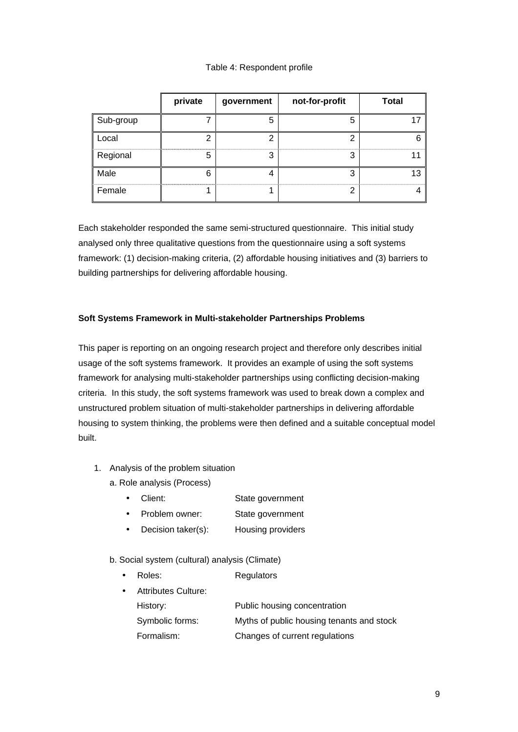# Table 4: Respondent profile

|           | private | government | not-for-profit | <b>Total</b> |
|-----------|---------|------------|----------------|--------------|
| Sub-group |         | 5          | 5              |              |
| Local     |         |            | n              |              |
| Regional  |         |            |                |              |
| Male      | ห       |            | ົ              |              |
| Female    |         |            |                |              |

Each stakeholder responded the same semi-structured questionnaire. This initial study analysed only three qualitative questions from the questionnaire using a soft systems framework: (1) decision-making criteria, (2) affordable housing initiatives and (3) barriers to building partnerships for delivering affordable housing.

# **Soft Systems Framework in Multi-stakeholder Partnerships Problems**

This paper is reporting on an ongoing research project and therefore only describes initial usage of the soft systems framework. It provides an example of using the soft systems framework for analysing multi-stakeholder partnerships using conflicting decision-making criteria. In this study, the soft systems framework was used to break down a complex and unstructured problem situation of multi-stakeholder partnerships in delivering affordable housing to system thinking, the problems were then defined and a suitable conceptual model built.

- 1. Analysis of the problem situation
	- a. Role analysis (Process)
		- Client: State government
		- Problem owner: State government
		- Decision taker(s): Housing providers
	- b. Social system (cultural) analysis (Climate)
		- Roles: Regulators
		- Attributes Culture: History: Public housing concentration Symbolic forms: Myths of public housing tenants and stock Formalism: Changes of current regulations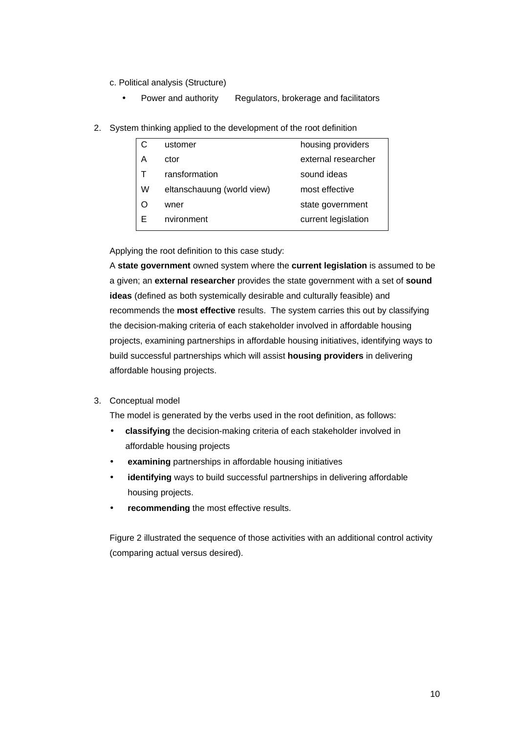- c. Political analysis (Structure)
	- Power and authority Regulators, brokerage and facilitators
- 2. System thinking applied to the development of the root definition

|   | ustomer                    | housing providers   |
|---|----------------------------|---------------------|
| A | ctor                       | external researcher |
|   | ransformation              | sound ideas         |
| W | eltanschauung (world view) | most effective      |
|   | wner                       | state government    |
| F | nvironment                 | current legislation |

Applying the root definition to this case study:

A **state government** owned system where the **current legislation** is assumed to be a given; an **external researcher** provides the state government with a set of **sound ideas** (defined as both systemically desirable and culturally feasible) and recommends the **most effective** results. The system carries this out by classifying the decision-making criteria of each stakeholder involved in affordable housing projects, examining partnerships in affordable housing initiatives, identifying ways to build successful partnerships which will assist **housing providers** in delivering affordable housing projects.

3. Conceptual model

The model is generated by the verbs used in the root definition, as follows:

- **classifying** the decision-making criteria of each stakeholder involved in affordable housing projects
- **examining** partnerships in affordable housing initiatives
- **identifying** ways to build successful partnerships in delivering affordable housing projects.
- **recommending** the most effective results.

Figure 2 illustrated the sequence of those activities with an additional control activity (comparing actual versus desired).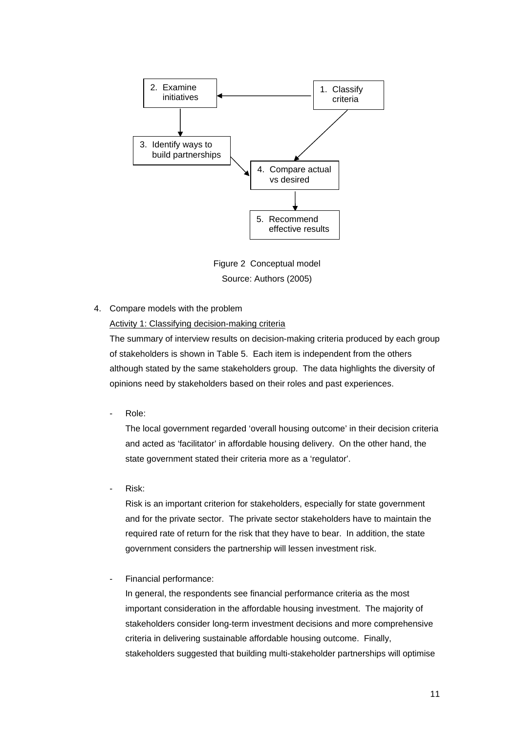

Figure 2 Conceptual model Source: Authors (2005)

4. Compare models with the problem

Activity 1: Classifying decision-making criteria

The summary of interview results on decision-making criteria produced by each group of stakeholders is shown in Table 5. Each item is independent from the others although stated by the same stakeholders group. The data highlights the diversity of opinions need by stakeholders based on their roles and past experiences.

Role:

The local government regarded 'overall housing outcome' in their decision criteria and acted as 'facilitator' in affordable housing delivery. On the other hand, the state government stated their criteria more as a 'regulator'.

Risk:

Risk is an important criterion for stakeholders, especially for state government and for the private sector. The private sector stakeholders have to maintain the required rate of return for the risk that they have to bear. In addition, the state government considers the partnership will lessen investment risk.

- Financial performance:

In general, the respondents see financial performance criteria as the most important consideration in the affordable housing investment. The majority of stakeholders consider long-term investment decisions and more comprehensive criteria in delivering sustainable affordable housing outcome. Finally, stakeholders suggested that building multi-stakeholder partnerships will optimise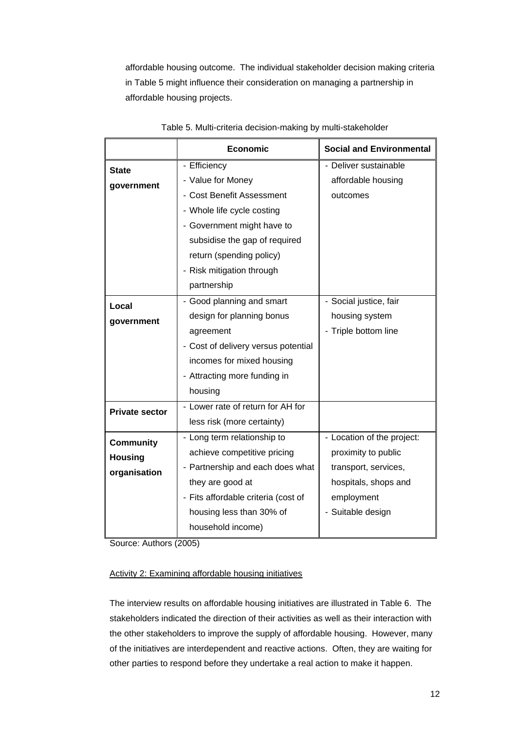affordable housing outcome. The individual stakeholder decision making criteria in Table 5 might influence their consideration on managing a partnership in affordable housing projects.

|                       | <b>Economic</b>                     | <b>Social and Environmental</b> |
|-----------------------|-------------------------------------|---------------------------------|
| <b>State</b>          | - Efficiency                        | - Deliver sustainable           |
| government            | - Value for Money                   | affordable housing              |
|                       | - Cost Benefit Assessment           | outcomes                        |
|                       | - Whole life cycle costing          |                                 |
|                       | - Government might have to          |                                 |
|                       | subsidise the gap of required       |                                 |
|                       | return (spending policy)            |                                 |
|                       | - Risk mitigation through           |                                 |
|                       | partnership                         |                                 |
| Local                 | - Good planning and smart           | - Social justice, fair          |
| government            | design for planning bonus           | housing system                  |
|                       | agreement                           | - Triple bottom line            |
|                       | - Cost of delivery versus potential |                                 |
|                       | incomes for mixed housing           |                                 |
|                       | - Attracting more funding in        |                                 |
|                       | housing                             |                                 |
| <b>Private sector</b> | - Lower rate of return for AH for   |                                 |
|                       | less risk (more certainty)          |                                 |
| <b>Community</b>      | - Long term relationship to         | - Location of the project:      |
| <b>Housing</b>        | achieve competitive pricing         | proximity to public             |
| organisation          | - Partnership and each does what    | transport, services,            |
|                       | they are good at                    | hospitals, shops and            |
|                       | - Fits affordable criteria (cost of | employment                      |
|                       | housing less than 30% of            | - Suitable design               |
|                       | household income)                   |                                 |

|  |  | Table 5. Multi-criteria decision-making by multi-stakeholder |
|--|--|--------------------------------------------------------------|
|  |  |                                                              |

Source: Authors (2005)

# Activity 2: Examining affordable housing initiatives

The interview results on affordable housing initiatives are illustrated in Table 6. The stakeholders indicated the direction of their activities as well as their interaction with the other stakeholders to improve the supply of affordable housing. However, many of the initiatives are interdependent and reactive actions. Often, they are waiting for other parties to respond before they undertake a real action to make it happen.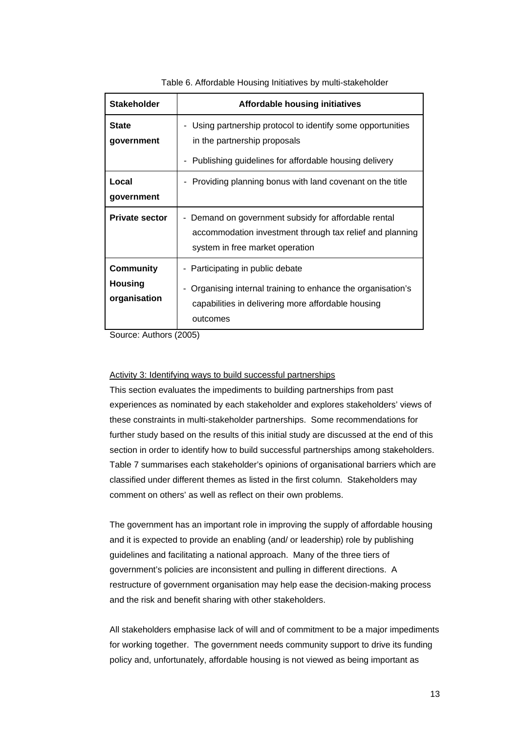| <b>Stakeholder</b>                          | <b>Affordable housing initiatives</b>                                                                                                                            |
|---------------------------------------------|------------------------------------------------------------------------------------------------------------------------------------------------------------------|
| <b>State</b><br>government                  | Using partnership protocol to identify some opportunities<br>۰<br>in the partnership proposals<br>Publishing guidelines for affordable housing delivery<br>۰     |
| Local<br>government                         | Providing planning bonus with land covenant on the title                                                                                                         |
| <b>Private sector</b>                       | Demand on government subsidy for affordable rental<br>accommodation investment through tax relief and planning<br>system in free market operation                |
| Community<br><b>Housing</b><br>organisation | - Participating in public debate<br>Organising internal training to enhance the organisation's<br>capabilities in delivering more affordable housing<br>outcomes |

Table 6. Affordable Housing Initiatives by multi-stakeholder

Source: Authors (2005)

#### Activity 3: Identifying ways to build successful partnerships

This section evaluates the impediments to building partnerships from past experiences as nominated by each stakeholder and explores stakeholders' views of these constraints in multi-stakeholder partnerships. Some recommendations for further study based on the results of this initial study are discussed at the end of this section in order to identify how to build successful partnerships among stakeholders. Table 7 summarises each stakeholder's opinions of organisational barriers which are classified under different themes as listed in the first column. Stakeholders may comment on others' as well as reflect on their own problems.

The government has an important role in improving the supply of affordable housing and it is expected to provide an enabling (and/ or leadership) role by publishing guidelines and facilitating a national approach. Many of the three tiers of government's policies are inconsistent and pulling in different directions. A restructure of government organisation may help ease the decision-making process and the risk and benefit sharing with other stakeholders.

All stakeholders emphasise lack of will and of commitment to be a major impediments for working together. The government needs community support to drive its funding policy and, unfortunately, affordable housing is not viewed as being important as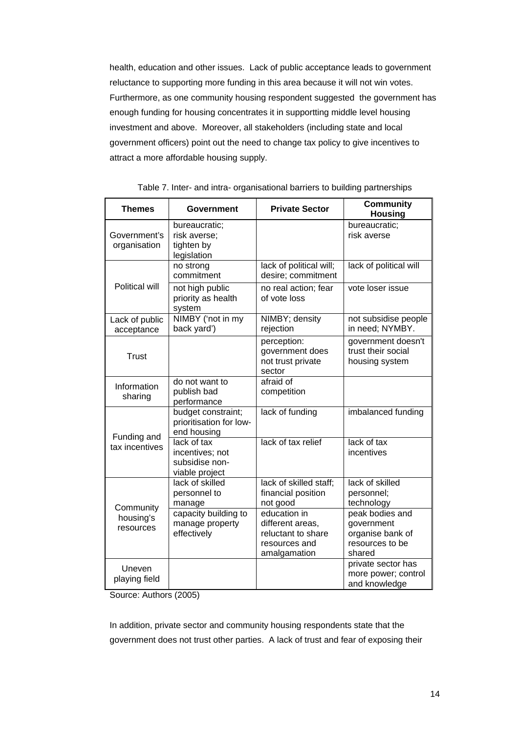health, education and other issues. Lack of public acceptance leads to government reluctance to supporting more funding in this area because it will not win votes. Furthermore, as one community housing respondent suggested the government has enough funding for housing concentrates it in supportting middle level housing investment and above. Moreover, all stakeholders (including state and local government officers) point out the need to change tax policy to give incentives to attract a more affordable housing supply.

| <b>Themes</b>                | Government                                                         | <b>Private Sector</b>                                                                   | <b>Community</b><br><b>Housing</b>                                             |
|------------------------------|--------------------------------------------------------------------|-----------------------------------------------------------------------------------------|--------------------------------------------------------------------------------|
| Government's<br>organisation | bureaucratic;<br>risk averse;<br>tighten by<br>legislation         |                                                                                         | bureaucratic;<br>risk averse                                                   |
|                              | no strong<br>commitment                                            | lack of political will;<br>desire; commitment                                           | lack of political will                                                         |
| Political will               | not high public<br>priority as health<br>system                    | no real action; fear<br>of vote loss                                                    | vote loser issue                                                               |
| Lack of public<br>acceptance | NIMBY ('not in my<br>back yard')                                   | NIMBY; density<br>rejection                                                             | not subsidise people<br>in need; NYMBY.                                        |
| <b>Trust</b>                 |                                                                    | perception:<br>government does<br>not trust private<br>sector                           | government doesn't<br>trust their social<br>housing system                     |
| Information<br>sharing       | do not want to<br>publish bad<br>performance                       | afraid of<br>competition                                                                |                                                                                |
| Funding and                  | budget constraint;<br>prioritisation for low-<br>end housing       | lack of funding                                                                         | imbalanced funding                                                             |
| tax incentives               | lack of tax<br>incentives; not<br>subsidise non-<br>viable project | lack of tax relief                                                                      | lack of tax<br>incentives                                                      |
| Community                    | lack of skilled<br>personnel to<br>manage                          | lack of skilled staff;<br>financial position<br>not good                                | lack of skilled<br>personnel;<br>technology                                    |
| housing's<br>resources       | capacity building to<br>manage property<br>effectively             | education in<br>different areas,<br>reluctant to share<br>resources and<br>amalgamation | peak bodies and<br>government<br>organise bank of<br>resources to be<br>shared |
| Uneven<br>playing field      |                                                                    |                                                                                         | private sector has<br>more power; control<br>and knowledge                     |

| Table 7. Inter- and intra- organisational barriers to building partnerships |  |  |  |
|-----------------------------------------------------------------------------|--|--|--|

Source: Authors (2005)

In addition, private sector and community housing respondents state that the government does not trust other parties. A lack of trust and fear of exposing their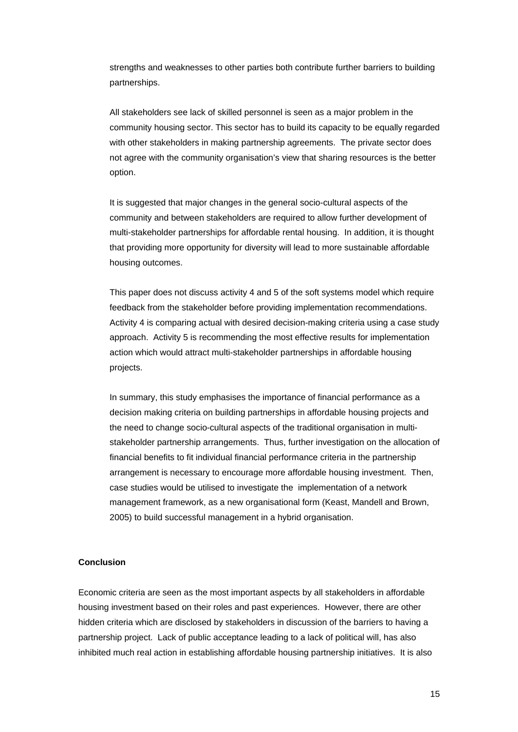strengths and weaknesses to other parties both contribute further barriers to building partnerships.

All stakeholders see lack of skilled personnel is seen as a major problem in the community housing sector. This sector has to build its capacity to be equally regarded with other stakeholders in making partnership agreements. The private sector does not agree with the community organisation's view that sharing resources is the better option.

It is suggested that major changes in the general socio-cultural aspects of the community and between stakeholders are required to allow further development of multi-stakeholder partnerships for affordable rental housing. In addition, it is thought that providing more opportunity for diversity will lead to more sustainable affordable housing outcomes.

This paper does not discuss activity 4 and 5 of the soft systems model which require feedback from the stakeholder before providing implementation recommendations. Activity 4 is comparing actual with desired decision-making criteria using a case study approach. Activity 5 is recommending the most effective results for implementation action which would attract multi-stakeholder partnerships in affordable housing projects.

In summary, this study emphasises the importance of financial performance as a decision making criteria on building partnerships in affordable housing projects and the need to change socio-cultural aspects of the traditional organisation in multistakeholder partnership arrangements. Thus, further investigation on the allocation of financial benefits to fit individual financial performance criteria in the partnership arrangement is necessary to encourage more affordable housing investment. Then, case studies would be utilised to investigate the implementation of a network management framework, as a new organisational form (Keast, Mandell and Brown, 2005) to build successful management in a hybrid organisation.

#### **Conclusion**

Economic criteria are seen as the most important aspects by all stakeholders in affordable housing investment based on their roles and past experiences. However, there are other hidden criteria which are disclosed by stakeholders in discussion of the barriers to having a partnership project. Lack of public acceptance leading to a lack of political will, has also inhibited much real action in establishing affordable housing partnership initiatives. It is also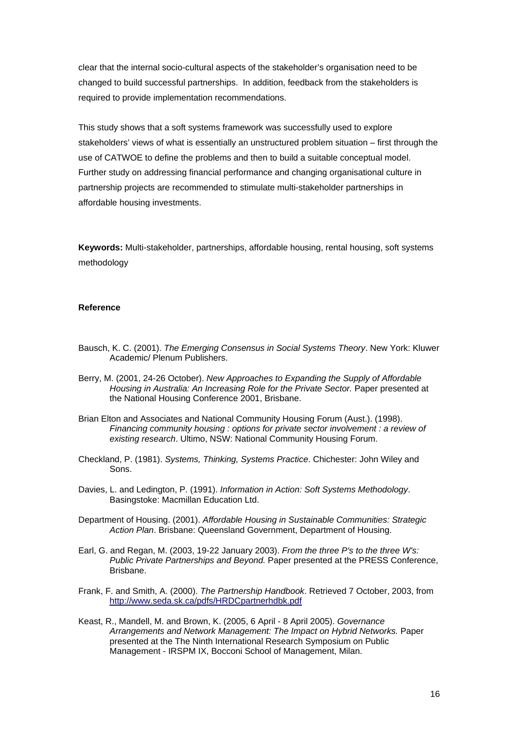clear that the internal socio-cultural aspects of the stakeholder's organisation need to be changed to build successful partnerships. In addition, feedback from the stakeholders is required to provide implementation recommendations.

This study shows that a soft systems framework was successfully used to explore stakeholders' views of what is essentially an unstructured problem situation – first through the use of CATWOE to define the problems and then to build a suitable conceptual model. Further study on addressing financial performance and changing organisational culture in partnership projects are recommended to stimulate multi-stakeholder partnerships in affordable housing investments.

**Keywords:** Multi-stakeholder, partnerships, affordable housing, rental housing, soft systems methodology

#### **Reference**

- Bausch, K. C. (2001). The Emerging Consensus in Social Systems Theory. New York: Kluwer Academic/ Plenum Publishers.
- Berry, M. (2001, 24-26 October). New Approaches to Expanding the Supply of Affordable Housing in Australia: An Increasing Role for the Private Sector. Paper presented at the National Housing Conference 2001, Brisbane.
- Brian Elton and Associates and National Community Housing Forum (Aust.). (1998). Financing community housing : options for private sector involvement : a review of existing research. Ultimo, NSW: National Community Housing Forum.
- Checkland, P. (1981). Systems, Thinking, Systems Practice. Chichester: John Wiley and Sons.
- Davies, L. and Ledington, P. (1991). Information in Action: Soft Systems Methodology. Basingstoke: Macmillan Education Ltd.
- Department of Housing. (2001). Affordable Housing in Sustainable Communities: Strategic Action Plan. Brisbane: Queensland Government, Department of Housing.
- Earl, G. and Regan, M. (2003, 19-22 January 2003). From the three P's to the three W's: Public Private Partnerships and Beyond. Paper presented at the PRESS Conference, Brisbane.
- Frank, F. and Smith, A. (2000). The Partnership Handbook. Retrieved 7 October, 2003, from http://www.seda.sk.ca/pdfs/HRDCpartnerhdbk.pdf
- Keast, R., Mandell, M. and Brown, K. (2005, 6 April 8 April 2005). Governance Arrangements and Network Management: The Impact on Hybrid Networks. Paper presented at the The Ninth International Research Symposium on Public Management - IRSPM IX, Bocconi School of Management, Milan.